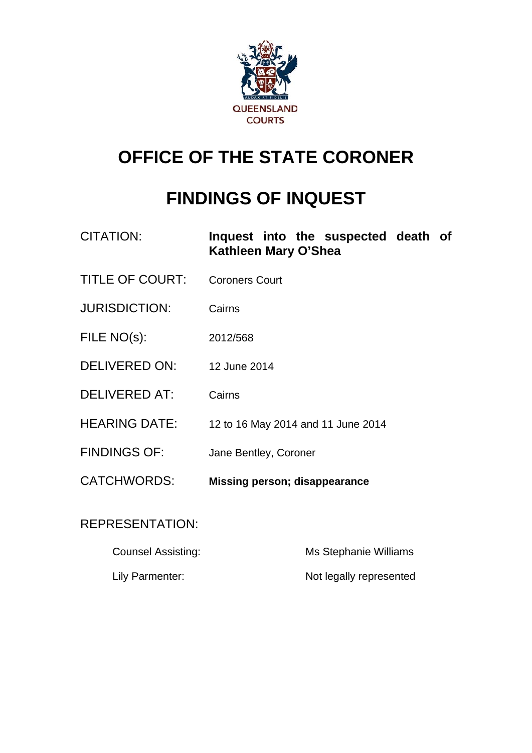

# **OFFICE OF THE STATE CORONER**

# **FINDINGS OF INQUEST**

| CITATION:              | Inquest into the suspected death of<br>Kathleen Mary O'Shea |
|------------------------|-------------------------------------------------------------|
| <b>TITLE OF COURT:</b> | <b>Coroners Court</b>                                       |
| <b>JURISDICTION:</b>   | Cairns                                                      |
| FILE NO(s):            | 2012/568                                                    |
| DELIVERED ON:          | 12 June 2014                                                |
| <b>DELIVERED AT:</b>   | Cairns                                                      |
| <b>HEARING DATE:</b>   | 12 to 16 May 2014 and 11 June 2014                          |
| <b>FINDINGS OF:</b>    | Jane Bentley, Coroner                                       |
| <b>CATCHWORDS:</b>     | Missing person; disappearance                               |
|                        |                                                             |

# REPRESENTATION:

| <b>Counsel Assisting:</b> | Ms Stephanie Williams   |
|---------------------------|-------------------------|
| Lily Parmenter:           | Not legally represented |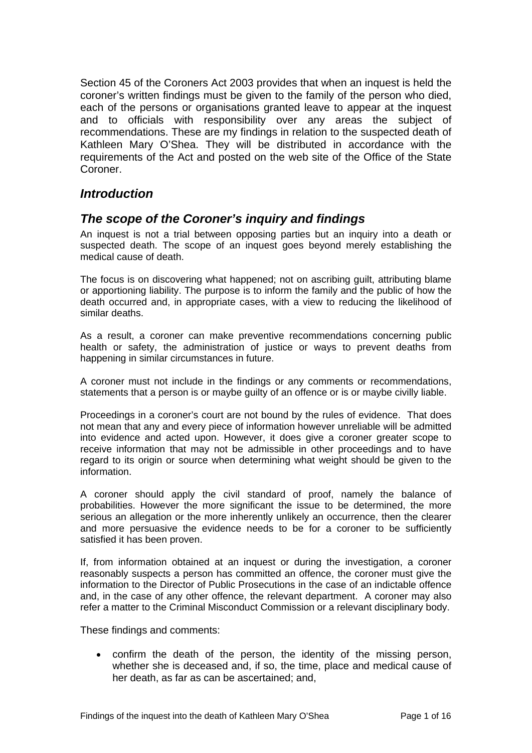Section 45 of the Coroners Act 2003 provides that when an inquest is held the coroner's written findings must be given to the family of the person who died, each of the persons or organisations granted leave to appear at the inquest and to officials with responsibility over any areas the subject of recommendations. These are my findings in relation to the suspected death of Kathleen Mary O'Shea. They will be distributed in accordance with the requirements of the Act and posted on the web site of the Office of the State Coroner.

# *Introduction*

# *The scope of the Coroner's inquiry and findings*

An inquest is not a trial between opposing parties but an inquiry into a death or suspected death. The scope of an inquest goes beyond merely establishing the medical cause of death.

The focus is on discovering what happened; not on ascribing guilt, attributing blame or apportioning liability. The purpose is to inform the family and the public of how the death occurred and, in appropriate cases, with a view to reducing the likelihood of similar deaths.

As a result, a coroner can make preventive recommendations concerning public health or safety, the administration of justice or ways to prevent deaths from happening in similar circumstances in future.

A coroner must not include in the findings or any comments or recommendations, statements that a person is or maybe guilty of an offence or is or maybe civilly liable.

Proceedings in a coroner's court are not bound by the rules of evidence. That does not mean that any and every piece of information however unreliable will be admitted into evidence and acted upon. However, it does give a coroner greater scope to receive information that may not be admissible in other proceedings and to have regard to its origin or source when determining what weight should be given to the information.

A coroner should apply the civil standard of proof, namely the balance of probabilities. However the more significant the issue to be determined, the more serious an allegation or the more inherently unlikely an occurrence, then the clearer and more persuasive the evidence needs to be for a coroner to be sufficiently satisfied it has been proven.

If, from information obtained at an inquest or during the investigation, a coroner reasonably suspects a person has committed an offence, the coroner must give the information to the Director of Public Prosecutions in the case of an indictable offence and, in the case of any other offence, the relevant department. A coroner may also refer a matter to the Criminal Misconduct Commission or a relevant disciplinary body.

These findings and comments:

 confirm the death of the person, the identity of the missing person, whether she is deceased and, if so, the time, place and medical cause of her death, as far as can be ascertained; and,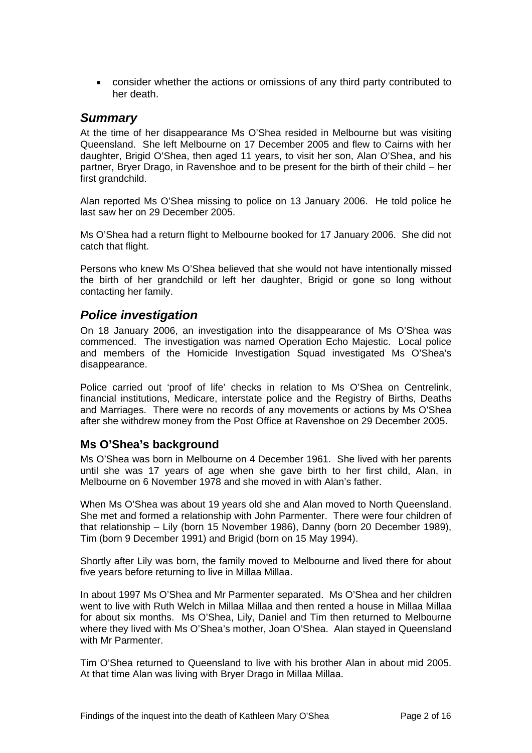consider whether the actions or omissions of any third party contributed to her death.

## *Summary*

At the time of her disappearance Ms O'Shea resided in Melbourne but was visiting Queensland. She left Melbourne on 17 December 2005 and flew to Cairns with her daughter, Brigid O'Shea, then aged 11 years, to visit her son, Alan O'Shea, and his partner, Bryer Drago, in Ravenshoe and to be present for the birth of their child – her first grandchild.

Alan reported Ms O'Shea missing to police on 13 January 2006. He told police he last saw her on 29 December 2005.

Ms O'Shea had a return flight to Melbourne booked for 17 January 2006. She did not catch that flight.

Persons who knew Ms O'Shea believed that she would not have intentionally missed the birth of her grandchild or left her daughter, Brigid or gone so long without contacting her family.

# *Police investigation*

On 18 January 2006, an investigation into the disappearance of Ms O'Shea was commenced. The investigation was named Operation Echo Majestic. Local police and members of the Homicide Investigation Squad investigated Ms O'Shea's disappearance.

Police carried out 'proof of life' checks in relation to Ms O'Shea on Centrelink, financial institutions, Medicare, interstate police and the Registry of Births, Deaths and Marriages. There were no records of any movements or actions by Ms O'Shea after she withdrew money from the Post Office at Ravenshoe on 29 December 2005.

# **Ms O'Shea's background**

Ms O'Shea was born in Melbourne on 4 December 1961. She lived with her parents until she was 17 years of age when she gave birth to her first child, Alan, in Melbourne on 6 November 1978 and she moved in with Alan's father.

When Ms O'Shea was about 19 years old she and Alan moved to North Queensland. She met and formed a relationship with John Parmenter. There were four children of that relationship – Lily (born 15 November 1986), Danny (born 20 December 1989), Tim (born 9 December 1991) and Brigid (born on 15 May 1994).

Shortly after Lily was born, the family moved to Melbourne and lived there for about five years before returning to live in Millaa Millaa.

In about 1997 Ms O'Shea and Mr Parmenter separated. Ms O'Shea and her children went to live with Ruth Welch in Millaa Millaa and then rented a house in Millaa Millaa for about six months. Ms O'Shea, Lily, Daniel and Tim then returned to Melbourne where they lived with Ms O'Shea's mother, Joan O'Shea. Alan stayed in Queensland with Mr Parmenter.

Tim O'Shea returned to Queensland to live with his brother Alan in about mid 2005. At that time Alan was living with Bryer Drago in Millaa Millaa.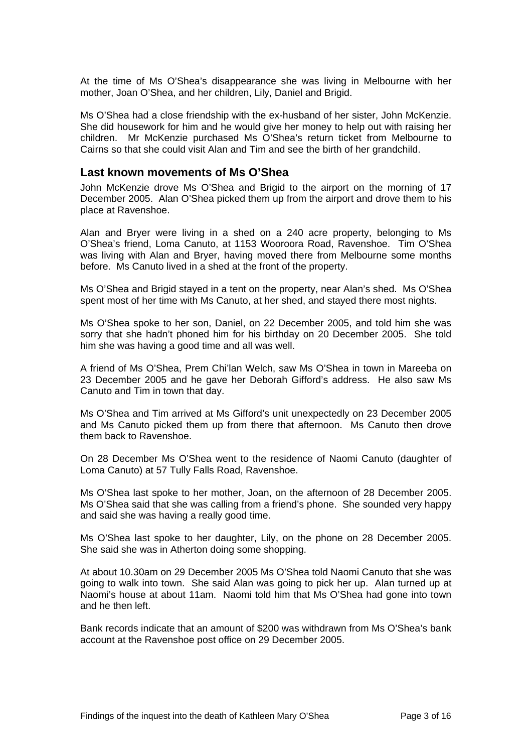At the time of Ms O'Shea's disappearance she was living in Melbourne with her mother, Joan O'Shea, and her children, Lily, Daniel and Brigid.

Ms O'Shea had a close friendship with the ex-husband of her sister, John McKenzie. She did housework for him and he would give her money to help out with raising her children. Mr McKenzie purchased Ms O'Shea's return ticket from Melbourne to Cairns so that she could visit Alan and Tim and see the birth of her grandchild.

#### **Last known movements of Ms O'Shea**

John McKenzie drove Ms O'Shea and Brigid to the airport on the morning of 17 December 2005. Alan O'Shea picked them up from the airport and drove them to his place at Ravenshoe.

Alan and Bryer were living in a shed on a 240 acre property, belonging to Ms O'Shea's friend, Loma Canuto, at 1153 Wooroora Road, Ravenshoe. Tim O'Shea was living with Alan and Bryer, having moved there from Melbourne some months before. Ms Canuto lived in a shed at the front of the property.

Ms O'Shea and Brigid stayed in a tent on the property, near Alan's shed. Ms O'Shea spent most of her time with Ms Canuto, at her shed, and stayed there most nights.

Ms O'Shea spoke to her son, Daniel, on 22 December 2005, and told him she was sorry that she hadn't phoned him for his birthday on 20 December 2005. She told him she was having a good time and all was well.

A friend of Ms O'Shea, Prem Chi'lan Welch, saw Ms O'Shea in town in Mareeba on 23 December 2005 and he gave her Deborah Gifford's address. He also saw Ms Canuto and Tim in town that day.

Ms O'Shea and Tim arrived at Ms Gifford's unit unexpectedly on 23 December 2005 and Ms Canuto picked them up from there that afternoon. Ms Canuto then drove them back to Ravenshoe.

On 28 December Ms O'Shea went to the residence of Naomi Canuto (daughter of Loma Canuto) at 57 Tully Falls Road, Ravenshoe.

Ms O'Shea last spoke to her mother, Joan, on the afternoon of 28 December 2005. Ms O'Shea said that she was calling from a friend's phone. She sounded very happy and said she was having a really good time.

Ms O'Shea last spoke to her daughter, Lily, on the phone on 28 December 2005. She said she was in Atherton doing some shopping.

At about 10.30am on 29 December 2005 Ms O'Shea told Naomi Canuto that she was going to walk into town. She said Alan was going to pick her up. Alan turned up at Naomi's house at about 11am. Naomi told him that Ms O'Shea had gone into town and he then left.

Bank records indicate that an amount of \$200 was withdrawn from Ms O'Shea's bank account at the Ravenshoe post office on 29 December 2005.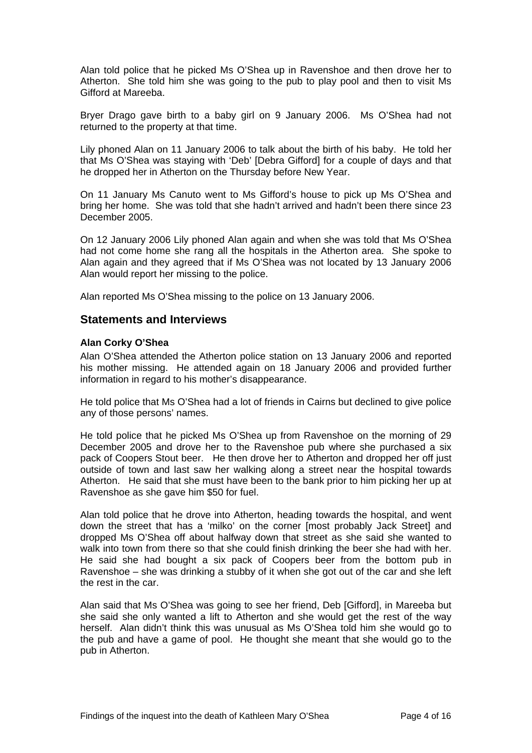Alan told police that he picked Ms O'Shea up in Ravenshoe and then drove her to Atherton. She told him she was going to the pub to play pool and then to visit Ms Gifford at Mareeba.

Bryer Drago gave birth to a baby girl on 9 January 2006. Ms O'Shea had not returned to the property at that time.

Lily phoned Alan on 11 January 2006 to talk about the birth of his baby. He told her that Ms O'Shea was staying with 'Deb' [Debra Gifford] for a couple of days and that he dropped her in Atherton on the Thursday before New Year.

On 11 January Ms Canuto went to Ms Gifford's house to pick up Ms O'Shea and bring her home. She was told that she hadn't arrived and hadn't been there since 23 December 2005.

On 12 January 2006 Lily phoned Alan again and when she was told that Ms O'Shea had not come home she rang all the hospitals in the Atherton area. She spoke to Alan again and they agreed that if Ms O'Shea was not located by 13 January 2006 Alan would report her missing to the police.

Alan reported Ms O'Shea missing to the police on 13 January 2006.

## **Statements and Interviews**

#### **Alan Corky O'Shea**

Alan O'Shea attended the Atherton police station on 13 January 2006 and reported his mother missing. He attended again on 18 January 2006 and provided further information in regard to his mother's disappearance.

He told police that Ms O'Shea had a lot of friends in Cairns but declined to give police any of those persons' names.

He told police that he picked Ms O'Shea up from Ravenshoe on the morning of 29 December 2005 and drove her to the Ravenshoe pub where she purchased a six pack of Coopers Stout beer. He then drove her to Atherton and dropped her off just outside of town and last saw her walking along a street near the hospital towards Atherton. He said that she must have been to the bank prior to him picking her up at Ravenshoe as she gave him \$50 for fuel.

Alan told police that he drove into Atherton, heading towards the hospital, and went down the street that has a 'milko' on the corner [most probably Jack Street] and dropped Ms O'Shea off about halfway down that street as she said she wanted to walk into town from there so that she could finish drinking the beer she had with her. He said she had bought a six pack of Coopers beer from the bottom pub in Ravenshoe – she was drinking a stubby of it when she got out of the car and she left the rest in the car.

Alan said that Ms O'Shea was going to see her friend, Deb [Gifford], in Mareeba but she said she only wanted a lift to Atherton and she would get the rest of the way herself. Alan didn't think this was unusual as Ms O'Shea told him she would go to the pub and have a game of pool. He thought she meant that she would go to the pub in Atherton.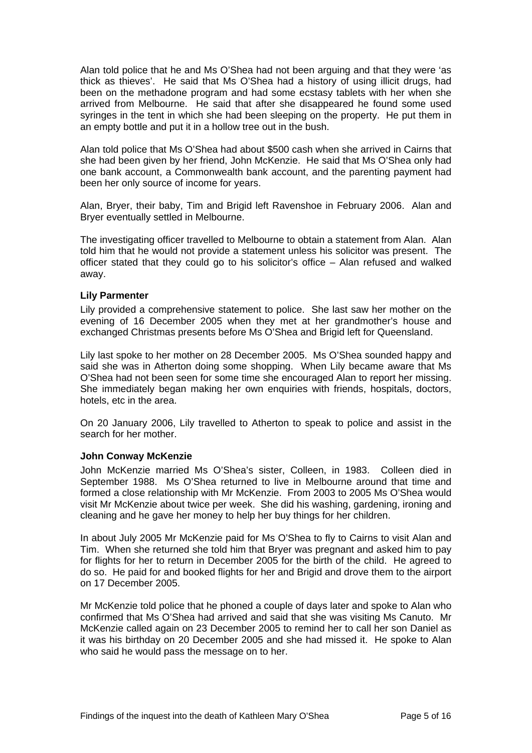Alan told police that he and Ms O'Shea had not been arguing and that they were 'as thick as thieves'. He said that Ms O'Shea had a history of using illicit drugs, had been on the methadone program and had some ecstasy tablets with her when she arrived from Melbourne. He said that after she disappeared he found some used syringes in the tent in which she had been sleeping on the property. He put them in an empty bottle and put it in a hollow tree out in the bush.

Alan told police that Ms O'Shea had about \$500 cash when she arrived in Cairns that she had been given by her friend, John McKenzie. He said that Ms O'Shea only had one bank account, a Commonwealth bank account, and the parenting payment had been her only source of income for years.

Alan, Bryer, their baby, Tim and Brigid left Ravenshoe in February 2006. Alan and Bryer eventually settled in Melbourne.

The investigating officer travelled to Melbourne to obtain a statement from Alan. Alan told him that he would not provide a statement unless his solicitor was present. The officer stated that they could go to his solicitor's office – Alan refused and walked away.

#### **Lily Parmenter**

Lily provided a comprehensive statement to police. She last saw her mother on the evening of 16 December 2005 when they met at her grandmother's house and exchanged Christmas presents before Ms O'Shea and Brigid left for Queensland.

Lily last spoke to her mother on 28 December 2005. Ms O'Shea sounded happy and said she was in Atherton doing some shopping. When Lily became aware that Ms O'Shea had not been seen for some time she encouraged Alan to report her missing. She immediately began making her own enquiries with friends, hospitals, doctors, hotels, etc in the area.

On 20 January 2006, Lily travelled to Atherton to speak to police and assist in the search for her mother.

#### **John Conway McKenzie**

John McKenzie married Ms O'Shea's sister, Colleen, in 1983. Colleen died in September 1988. Ms O'Shea returned to live in Melbourne around that time and formed a close relationship with Mr McKenzie. From 2003 to 2005 Ms O'Shea would visit Mr McKenzie about twice per week. She did his washing, gardening, ironing and cleaning and he gave her money to help her buy things for her children.

In about July 2005 Mr McKenzie paid for Ms O'Shea to fly to Cairns to visit Alan and Tim. When she returned she told him that Bryer was pregnant and asked him to pay for flights for her to return in December 2005 for the birth of the child. He agreed to do so. He paid for and booked flights for her and Brigid and drove them to the airport on 17 December 2005.

Mr McKenzie told police that he phoned a couple of days later and spoke to Alan who confirmed that Ms O'Shea had arrived and said that she was visiting Ms Canuto. Mr McKenzie called again on 23 December 2005 to remind her to call her son Daniel as it was his birthday on 20 December 2005 and she had missed it. He spoke to Alan who said he would pass the message on to her.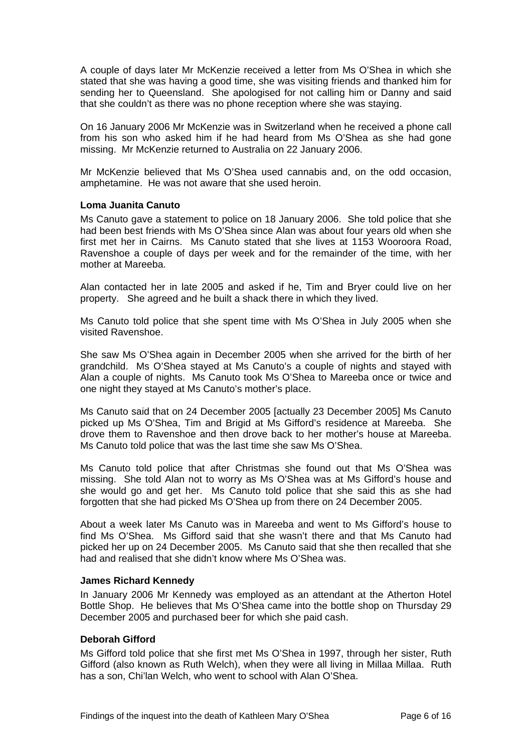A couple of days later Mr McKenzie received a letter from Ms O'Shea in which she stated that she was having a good time, she was visiting friends and thanked him for sending her to Queensland. She apologised for not calling him or Danny and said that she couldn't as there was no phone reception where she was staying.

On 16 January 2006 Mr McKenzie was in Switzerland when he received a phone call from his son who asked him if he had heard from Ms O'Shea as she had gone missing. Mr McKenzie returned to Australia on 22 January 2006.

Mr McKenzie believed that Ms O'Shea used cannabis and, on the odd occasion, amphetamine. He was not aware that she used heroin.

#### **Loma Juanita Canuto**

Ms Canuto gave a statement to police on 18 January 2006. She told police that she had been best friends with Ms O'Shea since Alan was about four years old when she first met her in Cairns. Ms Canuto stated that she lives at 1153 Wooroora Road, Ravenshoe a couple of days per week and for the remainder of the time, with her mother at Mareeba.

Alan contacted her in late 2005 and asked if he, Tim and Bryer could live on her property. She agreed and he built a shack there in which they lived.

Ms Canuto told police that she spent time with Ms O'Shea in July 2005 when she visited Ravenshoe.

She saw Ms O'Shea again in December 2005 when she arrived for the birth of her grandchild. Ms O'Shea stayed at Ms Canuto's a couple of nights and stayed with Alan a couple of nights. Ms Canuto took Ms O'Shea to Mareeba once or twice and one night they stayed at Ms Canuto's mother's place.

Ms Canuto said that on 24 December 2005 [actually 23 December 2005] Ms Canuto picked up Ms O'Shea, Tim and Brigid at Ms Gifford's residence at Mareeba. She drove them to Ravenshoe and then drove back to her mother's house at Mareeba. Ms Canuto told police that was the last time she saw Ms O'Shea.

Ms Canuto told police that after Christmas she found out that Ms O'Shea was missing. She told Alan not to worry as Ms O'Shea was at Ms Gifford's house and she would go and get her. Ms Canuto told police that she said this as she had forgotten that she had picked Ms O'Shea up from there on 24 December 2005.

About a week later Ms Canuto was in Mareeba and went to Ms Gifford's house to find Ms O'Shea. Ms Gifford said that she wasn't there and that Ms Canuto had picked her up on 24 December 2005. Ms Canuto said that she then recalled that she had and realised that she didn't know where Ms O'Shea was.

#### **James Richard Kennedy**

In January 2006 Mr Kennedy was employed as an attendant at the Atherton Hotel Bottle Shop. He believes that Ms O'Shea came into the bottle shop on Thursday 29 December 2005 and purchased beer for which she paid cash.

#### **Deborah Gifford**

Ms Gifford told police that she first met Ms O'Shea in 1997, through her sister, Ruth Gifford (also known as Ruth Welch), when they were all living in Millaa Millaa. Ruth has a son, Chi'lan Welch, who went to school with Alan O'Shea.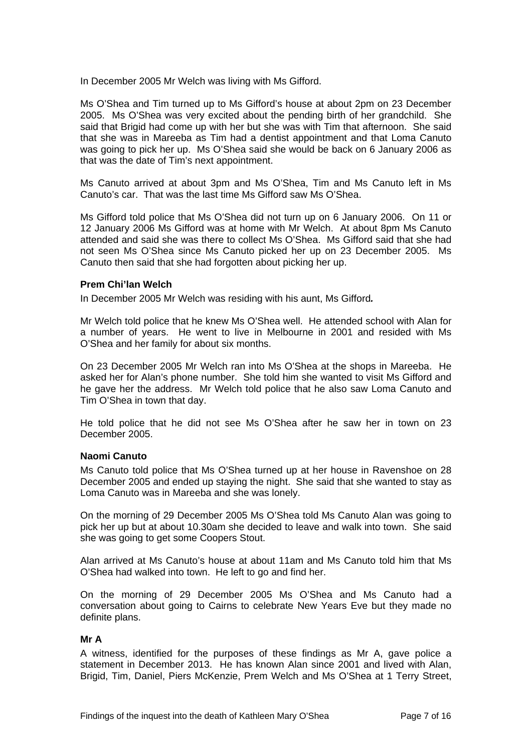In December 2005 Mr Welch was living with Ms Gifford.

Ms O'Shea and Tim turned up to Ms Gifford's house at about 2pm on 23 December 2005. Ms O'Shea was very excited about the pending birth of her grandchild. She said that Brigid had come up with her but she was with Tim that afternoon. She said that she was in Mareeba as Tim had a dentist appointment and that Loma Canuto was going to pick her up. Ms O'Shea said she would be back on 6 January 2006 as that was the date of Tim's next appointment.

Ms Canuto arrived at about 3pm and Ms O'Shea, Tim and Ms Canuto left in Ms Canuto's car. That was the last time Ms Gifford saw Ms O'Shea.

Ms Gifford told police that Ms O'Shea did not turn up on 6 January 2006. On 11 or 12 January 2006 Ms Gifford was at home with Mr Welch. At about 8pm Ms Canuto attended and said she was there to collect Ms O'Shea. Ms Gifford said that she had not seen Ms O'Shea since Ms Canuto picked her up on 23 December 2005. Ms Canuto then said that she had forgotten about picking her up.

#### **Prem Chi'lan Welch**

In December 2005 Mr Welch was residing with his aunt, Ms Gifford*.* 

Mr Welch told police that he knew Ms O'Shea well. He attended school with Alan for a number of years. He went to live in Melbourne in 2001 and resided with Ms O'Shea and her family for about six months.

On 23 December 2005 Mr Welch ran into Ms O'Shea at the shops in Mareeba. He asked her for Alan's phone number. She told him she wanted to visit Ms Gifford and he gave her the address. Mr Welch told police that he also saw Loma Canuto and Tim O'Shea in town that day.

He told police that he did not see Ms O'Shea after he saw her in town on 23 December 2005.

#### **Naomi Canuto**

Ms Canuto told police that Ms O'Shea turned up at her house in Ravenshoe on 28 December 2005 and ended up staying the night. She said that she wanted to stay as Loma Canuto was in Mareeba and she was lonely.

On the morning of 29 December 2005 Ms O'Shea told Ms Canuto Alan was going to pick her up but at about 10.30am she decided to leave and walk into town. She said she was going to get some Coopers Stout.

Alan arrived at Ms Canuto's house at about 11am and Ms Canuto told him that Ms O'Shea had walked into town. He left to go and find her.

On the morning of 29 December 2005 Ms O'Shea and Ms Canuto had a conversation about going to Cairns to celebrate New Years Eve but they made no definite plans.

#### **Mr A**

A witness, identified for the purposes of these findings as Mr A, gave police a statement in December 2013. He has known Alan since 2001 and lived with Alan, Brigid, Tim, Daniel, Piers McKenzie, Prem Welch and Ms O'Shea at 1 Terry Street,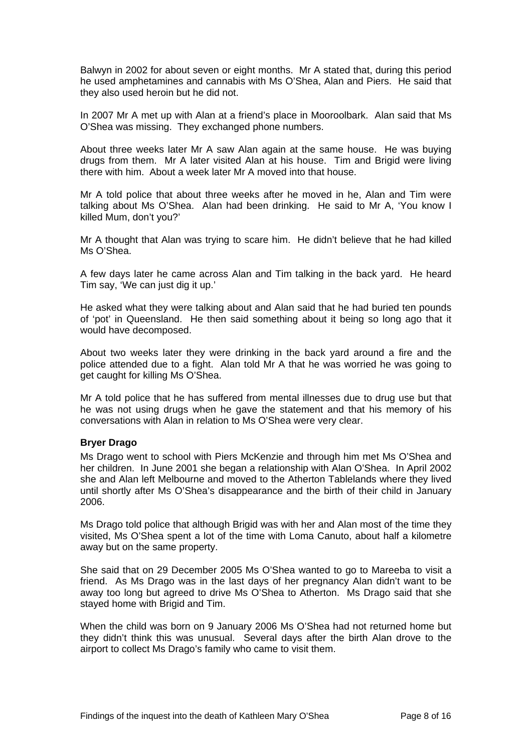Balwyn in 2002 for about seven or eight months. Mr A stated that, during this period he used amphetamines and cannabis with Ms O'Shea, Alan and Piers. He said that they also used heroin but he did not.

In 2007 Mr A met up with Alan at a friend's place in Mooroolbark. Alan said that Ms O'Shea was missing. They exchanged phone numbers.

About three weeks later Mr A saw Alan again at the same house. He was buying drugs from them. Mr A later visited Alan at his house. Tim and Brigid were living there with him. About a week later Mr A moved into that house.

Mr A told police that about three weeks after he moved in he, Alan and Tim were talking about Ms O'Shea. Alan had been drinking. He said to Mr A, 'You know I killed Mum, don't you?'

Mr A thought that Alan was trying to scare him. He didn't believe that he had killed Ms O'Shea.

A few days later he came across Alan and Tim talking in the back yard. He heard Tim say, 'We can just dig it up.'

He asked what they were talking about and Alan said that he had buried ten pounds of 'pot' in Queensland. He then said something about it being so long ago that it would have decomposed.

About two weeks later they were drinking in the back yard around a fire and the police attended due to a fight. Alan told Mr A that he was worried he was going to get caught for killing Ms O'Shea.

Mr A told police that he has suffered from mental illnesses due to drug use but that he was not using drugs when he gave the statement and that his memory of his conversations with Alan in relation to Ms O'Shea were very clear.

#### **Bryer Drago**

Ms Drago went to school with Piers McKenzie and through him met Ms O'Shea and her children. In June 2001 she began a relationship with Alan O'Shea. In April 2002 she and Alan left Melbourne and moved to the Atherton Tablelands where they lived until shortly after Ms O'Shea's disappearance and the birth of their child in January 2006.

Ms Drago told police that although Brigid was with her and Alan most of the time they visited, Ms O'Shea spent a lot of the time with Loma Canuto, about half a kilometre away but on the same property.

She said that on 29 December 2005 Ms O'Shea wanted to go to Mareeba to visit a friend. As Ms Drago was in the last days of her pregnancy Alan didn't want to be away too long but agreed to drive Ms O'Shea to Atherton. Ms Drago said that she stayed home with Brigid and Tim.

When the child was born on 9 January 2006 Ms O'Shea had not returned home but they didn't think this was unusual. Several days after the birth Alan drove to the airport to collect Ms Drago's family who came to visit them.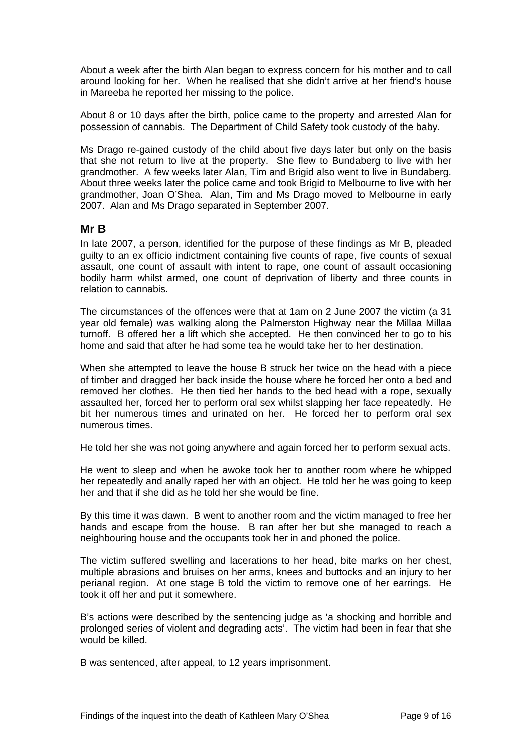About a week after the birth Alan began to express concern for his mother and to call around looking for her. When he realised that she didn't arrive at her friend's house in Mareeba he reported her missing to the police.

About 8 or 10 days after the birth, police came to the property and arrested Alan for possession of cannabis. The Department of Child Safety took custody of the baby.

Ms Drago re-gained custody of the child about five days later but only on the basis that she not return to live at the property. She flew to Bundaberg to live with her grandmother. A few weeks later Alan, Tim and Brigid also went to live in Bundaberg. About three weeks later the police came and took Brigid to Melbourne to live with her grandmother, Joan O'Shea. Alan, Tim and Ms Drago moved to Melbourne in early 2007. Alan and Ms Drago separated in September 2007.

## **Mr B**

In late 2007, a person, identified for the purpose of these findings as Mr B, pleaded guilty to an ex officio indictment containing five counts of rape, five counts of sexual assault, one count of assault with intent to rape, one count of assault occasioning bodily harm whilst armed, one count of deprivation of liberty and three counts in relation to cannabis.

The circumstances of the offences were that at 1am on 2 June 2007 the victim (a 31 year old female) was walking along the Palmerston Highway near the Millaa Millaa turnoff. B offered her a lift which she accepted. He then convinced her to go to his home and said that after he had some tea he would take her to her destination.

When she attempted to leave the house B struck her twice on the head with a piece of timber and dragged her back inside the house where he forced her onto a bed and removed her clothes. He then tied her hands to the bed head with a rope, sexually assaulted her, forced her to perform oral sex whilst slapping her face repeatedly. He bit her numerous times and urinated on her. He forced her to perform oral sex numerous times.

He told her she was not going anywhere and again forced her to perform sexual acts.

He went to sleep and when he awoke took her to another room where he whipped her repeatedly and anally raped her with an object. He told her he was going to keep her and that if she did as he told her she would be fine.

By this time it was dawn. B went to another room and the victim managed to free her hands and escape from the house. B ran after her but she managed to reach a neighbouring house and the occupants took her in and phoned the police.

The victim suffered swelling and lacerations to her head, bite marks on her chest, multiple abrasions and bruises on her arms, knees and buttocks and an injury to her perianal region. At one stage B told the victim to remove one of her earrings. He took it off her and put it somewhere.

B's actions were described by the sentencing judge as 'a shocking and horrible and prolonged series of violent and degrading acts'. The victim had been in fear that she would be killed.

B was sentenced, after appeal, to 12 years imprisonment.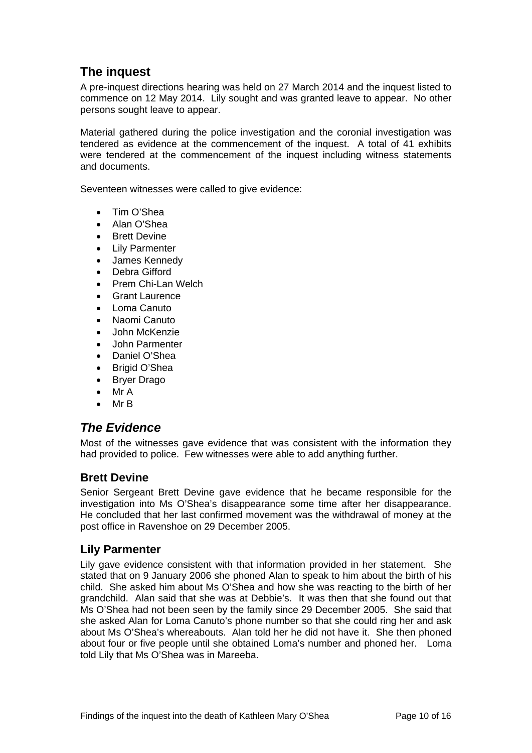# **The inquest**

A pre-inquest directions hearing was held on 27 March 2014 and the inquest listed to commence on 12 May 2014. Lily sought and was granted leave to appear. No other persons sought leave to appear.

Material gathered during the police investigation and the coronial investigation was tendered as evidence at the commencement of the inquest. A total of 41 exhibits were tendered at the commencement of the inquest including witness statements and documents.

Seventeen witnesses were called to give evidence:

- Tim O'Shea
- Alan O'Shea
- Brett Devine
- Lily Parmenter
- James Kennedy
- Debra Gifford
- Prem Chi-Lan Welch
- Grant Laurence
- Loma Canuto
- Naomi Canuto
- John McKenzie
- John Parmenter
- Daniel O'Shea
- Brigid O'Shea
- Bryer Drago
- Mr A
- $\bullet$  Mr B

# *The Evidence*

Most of the witnesses gave evidence that was consistent with the information they had provided to police. Few witnesses were able to add anything further.

# **Brett Devine**

Senior Sergeant Brett Devine gave evidence that he became responsible for the investigation into Ms O'Shea's disappearance some time after her disappearance. He concluded that her last confirmed movement was the withdrawal of money at the post office in Ravenshoe on 29 December 2005.

# **Lily Parmenter**

Lily gave evidence consistent with that information provided in her statement. She stated that on 9 January 2006 she phoned Alan to speak to him about the birth of his child. She asked him about Ms O'Shea and how she was reacting to the birth of her grandchild. Alan said that she was at Debbie's. It was then that she found out that Ms O'Shea had not been seen by the family since 29 December 2005. She said that she asked Alan for Loma Canuto's phone number so that she could ring her and ask about Ms O'Shea's whereabouts. Alan told her he did not have it. She then phoned about four or five people until she obtained Loma's number and phoned her. Loma told Lily that Ms O'Shea was in Mareeba.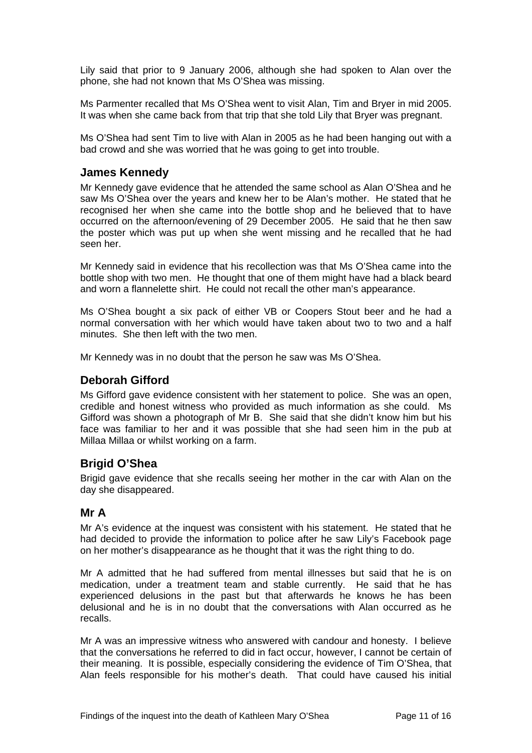Lily said that prior to 9 January 2006, although she had spoken to Alan over the phone, she had not known that Ms O'Shea was missing.

Ms Parmenter recalled that Ms O'Shea went to visit Alan, Tim and Bryer in mid 2005. It was when she came back from that trip that she told Lily that Bryer was pregnant.

Ms O'Shea had sent Tim to live with Alan in 2005 as he had been hanging out with a bad crowd and she was worried that he was going to get into trouble.

## **James Kennedy**

Mr Kennedy gave evidence that he attended the same school as Alan O'Shea and he saw Ms O'Shea over the years and knew her to be Alan's mother. He stated that he recognised her when she came into the bottle shop and he believed that to have occurred on the afternoon/evening of 29 December 2005. He said that he then saw the poster which was put up when she went missing and he recalled that he had seen her.

Mr Kennedy said in evidence that his recollection was that Ms O'Shea came into the bottle shop with two men. He thought that one of them might have had a black beard and worn a flannelette shirt. He could not recall the other man's appearance.

Ms O'Shea bought a six pack of either VB or Coopers Stout beer and he had a normal conversation with her which would have taken about two to two and a half minutes. She then left with the two men.

Mr Kennedy was in no doubt that the person he saw was Ms O'Shea.

## **Deborah Gifford**

Ms Gifford gave evidence consistent with her statement to police. She was an open, credible and honest witness who provided as much information as she could. Ms Gifford was shown a photograph of Mr B. She said that she didn't know him but his face was familiar to her and it was possible that she had seen him in the pub at Millaa Millaa or whilst working on a farm.

## **Brigid O'Shea**

Brigid gave evidence that she recalls seeing her mother in the car with Alan on the day she disappeared.

## **Mr A**

Mr A's evidence at the inquest was consistent with his statement. He stated that he had decided to provide the information to police after he saw Lily's Facebook page on her mother's disappearance as he thought that it was the right thing to do.

Mr A admitted that he had suffered from mental illnesses but said that he is on medication, under a treatment team and stable currently. He said that he has experienced delusions in the past but that afterwards he knows he has been delusional and he is in no doubt that the conversations with Alan occurred as he recalls.

Mr A was an impressive witness who answered with candour and honesty. I believe that the conversations he referred to did in fact occur, however, I cannot be certain of their meaning. It is possible, especially considering the evidence of Tim O'Shea, that Alan feels responsible for his mother's death. That could have caused his initial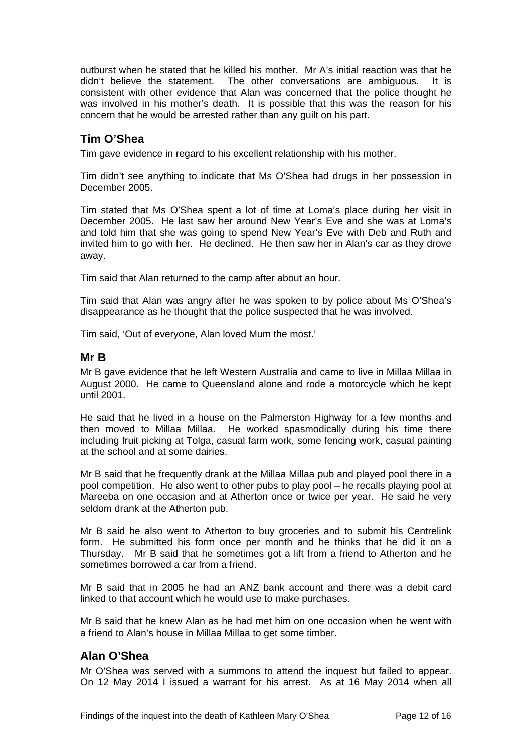outburst when he stated that he killed his mother. Mr A's initial reaction was that he didn't believe the statement. The other conversations are ambiguous. It is consistent with other evidence that Alan was concerned that the police thought he was involved in his mother's death. It is possible that this was the reason for his concern that he would be arrested rather than any guilt on his part.

# **Tim O'Shea**

Tim gave evidence in regard to his excellent relationship with his mother.

Tim didn't see anything to indicate that Ms O'Shea had drugs in her possession in December 2005.

Tim stated that Ms O'Shea spent a lot of time at Loma's place during her visit in December 2005. He last saw her around New Year's Eve and she was at Loma's and told him that she was going to spend New Year's Eve with Deb and Ruth and invited him to go with her. He declined. He then saw her in Alan's car as they drove away.

Tim said that Alan returned to the camp after about an hour.

Tim said that Alan was angry after he was spoken to by police about Ms O'Shea's disappearance as he thought that the police suspected that he was involved.

Tim said, 'Out of everyone, Alan loved Mum the most.'

## **Mr B**

Mr B gave evidence that he left Western Australia and came to live in Millaa Millaa in August 2000. He came to Queensland alone and rode a motorcycle which he kept until 2001.

He said that he lived in a house on the Palmerston Highway for a few months and then moved to Millaa Millaa. He worked spasmodically during his time there including fruit picking at Tolga, casual farm work, some fencing work, casual painting at the school and at some dairies.

Mr B said that he frequently drank at the Millaa Millaa pub and played pool there in a pool competition. He also went to other pubs to play pool – he recalls playing pool at Mareeba on one occasion and at Atherton once or twice per year. He said he very seldom drank at the Atherton pub.

Mr B said he also went to Atherton to buy groceries and to submit his Centrelink form. He submitted his form once per month and he thinks that he did it on a Thursday. Mr B said that he sometimes got a lift from a friend to Atherton and he sometimes borrowed a car from a friend.

Mr B said that in 2005 he had an ANZ bank account and there was a debit card linked to that account which he would use to make purchases.

Mr B said that he knew Alan as he had met him on one occasion when he went with a friend to Alan's house in Millaa Millaa to get some timber.

## **Alan O'Shea**

Mr O'Shea was served with a summons to attend the inquest but failed to appear. On 12 May 2014 I issued a warrant for his arrest. As at 16 May 2014 when all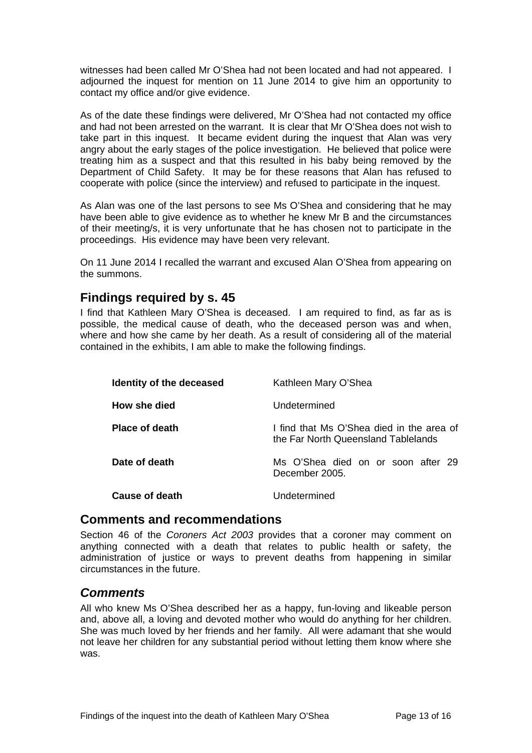witnesses had been called Mr O'Shea had not been located and had not appeared. I adjourned the inquest for mention on 11 June 2014 to give him an opportunity to contact my office and/or give evidence.

As of the date these findings were delivered, Mr O'Shea had not contacted my office and had not been arrested on the warrant. It is clear that Mr O'Shea does not wish to take part in this inquest. It became evident during the inquest that Alan was very angry about the early stages of the police investigation. He believed that police were treating him as a suspect and that this resulted in his baby being removed by the Department of Child Safety. It may be for these reasons that Alan has refused to cooperate with police (since the interview) and refused to participate in the inquest.

As Alan was one of the last persons to see Ms O'Shea and considering that he may have been able to give evidence as to whether he knew Mr B and the circumstances of their meeting/s, it is very unfortunate that he has chosen not to participate in the proceedings. His evidence may have been very relevant.

On 11 June 2014 I recalled the warrant and excused Alan O'Shea from appearing on the summons.

# **Findings required by s. 45**

I find that Kathleen Mary O'Shea is deceased. I am required to find, as far as is possible, the medical cause of death, who the deceased person was and when, where and how she came by her death. As a result of considering all of the material contained in the exhibits, I am able to make the following findings.

| Identity of the deceased | Kathleen Mary O'Shea                                                             |
|--------------------------|----------------------------------------------------------------------------------|
| How she died             | Undetermined                                                                     |
| <b>Place of death</b>    | I find that Ms O'Shea died in the area of<br>the Far North Queensland Tablelands |
| Date of death            | Ms O'Shea died on or soon after 29<br>December 2005.                             |
| Cause of death           | Undetermined                                                                     |

## **Comments and recommendations**

Section 46 of the *Coroners Act 2003* provides that a coroner may comment on anything connected with a death that relates to public health or safety, the administration of justice or ways to prevent deaths from happening in similar circumstances in the future.

## *Comments*

All who knew Ms O'Shea described her as a happy, fun-loving and likeable person and, above all, a loving and devoted mother who would do anything for her children. She was much loved by her friends and her family. All were adamant that she would not leave her children for any substantial period without letting them know where she was.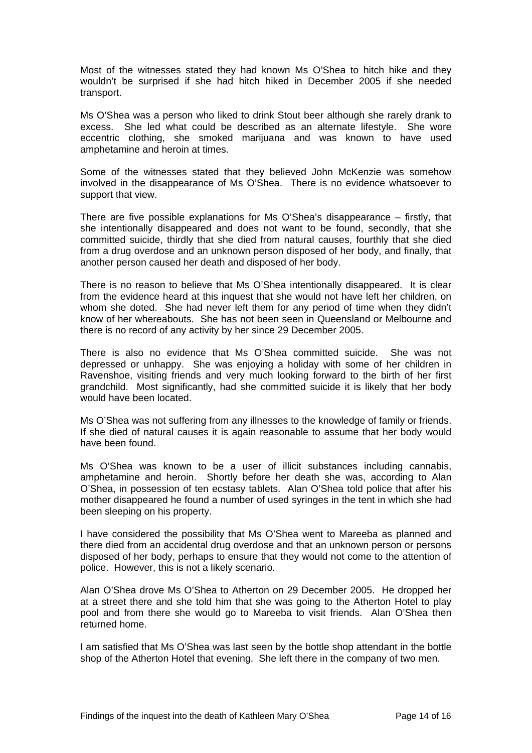Most of the witnesses stated they had known Ms O'Shea to hitch hike and they wouldn't be surprised if she had hitch hiked in December 2005 if she needed transport.

Ms O'Shea was a person who liked to drink Stout beer although she rarely drank to excess. She led what could be described as an alternate lifestyle. She wore eccentric clothing, she smoked marijuana and was known to have used amphetamine and heroin at times.

Some of the witnesses stated that they believed John McKenzie was somehow involved in the disappearance of Ms O'Shea. There is no evidence whatsoever to support that view.

There are five possible explanations for Ms O'Shea's disappearance – firstly, that she intentionally disappeared and does not want to be found, secondly, that she committed suicide, thirdly that she died from natural causes, fourthly that she died from a drug overdose and an unknown person disposed of her body, and finally, that another person caused her death and disposed of her body.

There is no reason to believe that Ms O'Shea intentionally disappeared. It is clear from the evidence heard at this inquest that she would not have left her children, on whom she doted. She had never left them for any period of time when they didn't know of her whereabouts. She has not been seen in Queensland or Melbourne and there is no record of any activity by her since 29 December 2005.

There is also no evidence that Ms O'Shea committed suicide. She was not depressed or unhappy. She was enjoying a holiday with some of her children in Ravenshoe, visiting friends and very much looking forward to the birth of her first grandchild. Most significantly, had she committed suicide it is likely that her body would have been located.

Ms O'Shea was not suffering from any illnesses to the knowledge of family or friends. If she died of natural causes it is again reasonable to assume that her body would have been found.

Ms O'Shea was known to be a user of illicit substances including cannabis, amphetamine and heroin. Shortly before her death she was, according to Alan O'Shea, in possession of ten ecstasy tablets. Alan O'Shea told police that after his mother disappeared he found a number of used syringes in the tent in which she had been sleeping on his property.

I have considered the possibility that Ms O'Shea went to Mareeba as planned and there died from an accidental drug overdose and that an unknown person or persons disposed of her body, perhaps to ensure that they would not come to the attention of police. However, this is not a likely scenario.

Alan O'Shea drove Ms O'Shea to Atherton on 29 December 2005. He dropped her at a street there and she told him that she was going to the Atherton Hotel to play pool and from there she would go to Mareeba to visit friends. Alan O'Shea then returned home.

I am satisfied that Ms O'Shea was last seen by the bottle shop attendant in the bottle shop of the Atherton Hotel that evening. She left there in the company of two men.